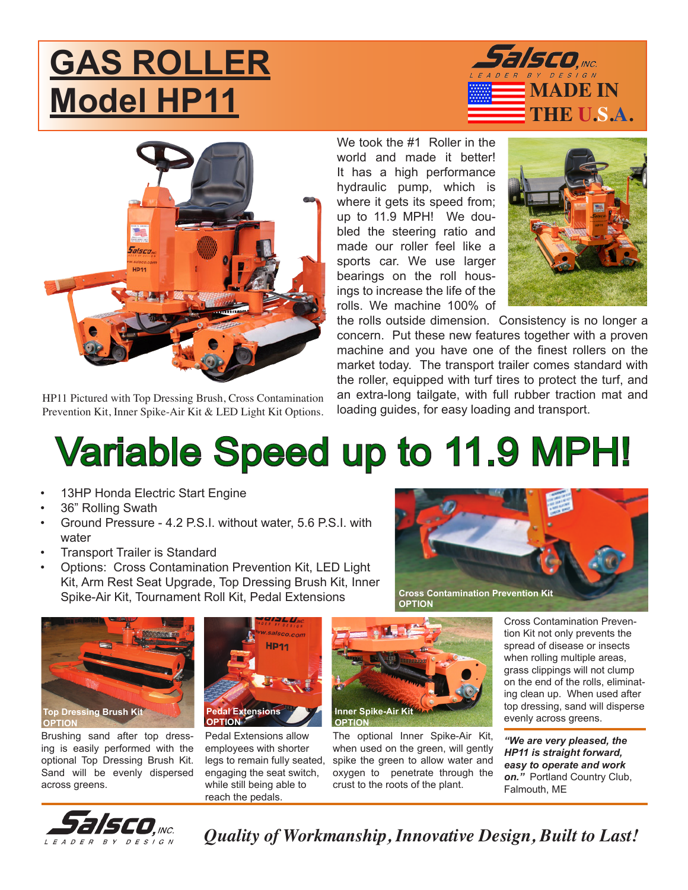## **GAS ROLLER Model HP11 Model HP11**





HP11 Pictured with Top Dressing Brush, Cross Contamination Prevention Kit, Inner Spike-Air Kit & LED Light Kit Options. We took the #1 Roller in the world and made it better! It has a high performance hydraulic pump, which is where it gets its speed from; up to 11.9 MPH! We doubled the steering ratio and made our roller feel like a sports car. We use larger bearings on the roll housings to increase the life of the rolls. We machine 100% of



the rolls outside dimension. Consistency is no longer a concern. Put these new features together with a proven machine and you have one of the finest rollers on the market today. The transport trailer comes standard with the roller, equipped with turf tires to protect the turf, and an extra-long tailgate, with full rubber traction mat and loading guides, for easy loading and transport.

## Variable Speed up to 11.9 MPH!

- 13HP Honda Electric Start Engine
- 36" Rolling Swath
- Ground Pressure 4.2 P.S.I. without water, 5.6 P.S.I. with water
- **Transport Trailer is Standard**
- Options: Cross Contamination Prevention Kit, LED Light Kit, Arm Rest Seat Upgrade, Top Dressing Brush Kit, Inner Spike-Air Kit, Tournament Roll Kit, Pedal Extensions **Cross Contamination Prevention Kit**



**OPTION**



Brushing sand after top dressing is easily performed with the optional Top Dressing Brush Kit. Sand will be evenly dispersed across greens.



Pedal Extensions allow employees with shorter legs to remain fully seated, engaging the seat switch, while still being able to reach the pedals.



The optional Inner Spike-Air Kit, when used on the green, will gently spike the green to allow water and oxygen to penetrate through the crust to the roots of the plant.

Cross Contamination Prevention Kit not only prevents the spread of disease or insects when rolling multiple areas, grass clippings will not clump on the end of the rolls, eliminating clean up. When used after top dressing, sand will disperse evenly across greens.

*"We are very pleased, the HP11 is straight forward, easy to operate and work on."* Portland Country Club, Falmouth, ME



*Quality of Workmanship, Innovative Design, Built to Last!*